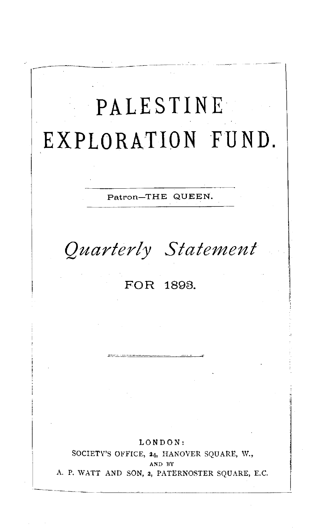

AND BY

A. P. WATT AND SON, **:i,** PATERNOSTER SQUARE, E.C.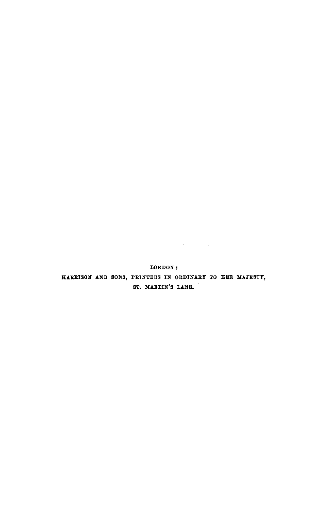LONDON: HARRISON AND SONS, PRINTERS IN ORDINARY TO HER MAJESTY, ST. MARTIN'S LANE.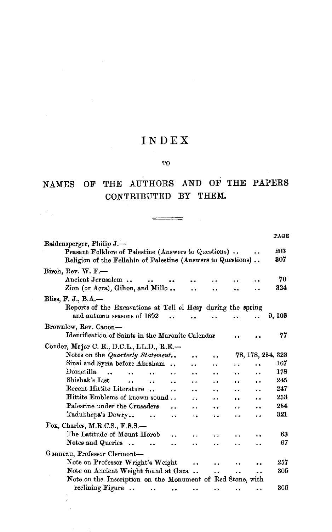# INDEX

 $\bar{z}$ 

 $\overline{\phantom{a}}$ 

#### 'l'O

# NAMES OF THE AUTHORS AND OF THE PAPERS CONTRIBUTED BY THEM.

 $\begin{tabular}{l} \multicolumn{3}{c} {\textbf \texttt{3}} & \multicolumn{3}{c} {\textbf \texttt{4}} & \multicolumn{3}{c} {\textbf \texttt{5}} \\ \multicolumn{3}{c} {\textbf \texttt{5}} & \multicolumn{3}{c} {\textbf \texttt{6}} & \multicolumn{3}{c} {\textbf \texttt{6}} \\ \multicolumn{3}{c} {\textbf \texttt{6}} & \multicolumn{3}{c} {\textbf \texttt{6}} & \multicolumn{3}{c} {\textbf \texttt{7}} \\ \multicolumn{3}{c} {\textbf \texttt{6}} & \multicolumn{3}{c} {\textbf \texttt{7}} & \multic$ 

|                                                                                                                                                   |                             |                      | PAGE              |
|---------------------------------------------------------------------------------------------------------------------------------------------------|-----------------------------|----------------------|-------------------|
| Baldensperger, Philip J.-<br>Peasant Folklore of Palestine (Answers to Questions)<br>Religion of the Fellahin of Palestine (Answers to Questions) |                             |                      | 203<br>307        |
| Birch, Rev. W. F.—                                                                                                                                |                             |                      |                   |
| Ancient Jerusalem                                                                                                                                 |                             |                      | 70                |
| Zion (or Acra), Gihon, and Millo                                                                                                                  |                             |                      | 324               |
| Bliss, F. J., B.A. $-$                                                                                                                            |                             |                      |                   |
| Reports of the Excavations at Tell el Hesy during the spring                                                                                      |                             |                      |                   |
| and autumn seasons of 1892                                                                                                                        |                             |                      | 9, 103            |
| Brownlow, Rev. Canon-                                                                                                                             |                             |                      |                   |
| Identification of Saints in the Maronite Calendar                                                                                                 |                             |                      | 77                |
| Conder, Major C. R., D.C.L., LL.D., R.E.-                                                                                                         |                             |                      |                   |
| Notes on the Quarterly Statement<br>$\ddot{\phantom{1}}$                                                                                          |                             |                      | 78, 178, 254, 323 |
| Sinai and Syria before Abraham<br>$\ddot{\phantom{a}}$<br>. .                                                                                     |                             |                      | 167               |
| Dometilla<br>$\ddot{\phantom{a}}$<br>$\ddot{\phantom{a}}$<br>                                                                                     |                             | . .                  | 178               |
| Shishak's List<br>. .<br>. .<br>$\ddot{\phantom{0}}$<br>$\ddot{\phantom{a}}$                                                                      |                             | . .                  | 245               |
| Recent Hittite Literature<br>. .                                                                                                                  |                             |                      | 247               |
| Hittite Emblems of known sound                                                                                                                    |                             |                      | 253               |
| Palestine under the Crusaders<br>. .<br>                                                                                                          | $\ddot{\phantom{a}}$<br>. . |                      | 254               |
| Tadukhepa's Dowry<br>. .<br>٠.                                                                                                                    | . .<br>. .                  |                      | 321               |
| Fox, Charles, M.R.C.S., F.S.S.-                                                                                                                   |                             |                      |                   |
| The Latitude of Mount Horeb                                                                                                                       |                             |                      | 63                |
| a a<br>$\ddot{\phantom{a}}$                                                                                                                       |                             |                      | 67                |
| Notes and Queries                                                                                                                                 |                             |                      |                   |
| Ganneau, Professor Clermont-                                                                                                                      |                             |                      |                   |
| Note on Professor Wright's Weight<br>$\ddot{\phantom{0}}$                                                                                         |                             |                      | 257               |
| Note on Ancient Weight found at Gaza                                                                                                              | <br>. .                     | $\ddot{\phantom{a}}$ | 305               |
| Note on the Inscription on the Monument of Red Stone, with                                                                                        |                             |                      |                   |
| reclining Figure<br>$\ddot{\phantom{0}}$<br>                                                                                                      |                             | $\ddot{\phantom{1}}$ | 306               |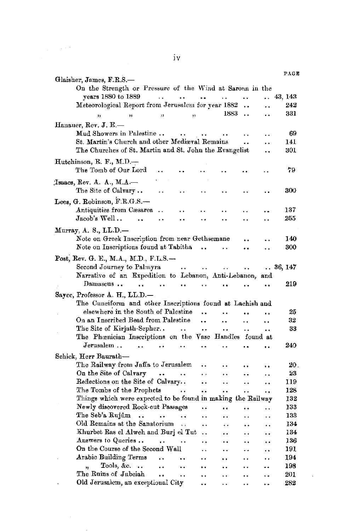| Glaisher, James, F.R.S.-                                                                                                                 |                      | PAGE    |
|------------------------------------------------------------------------------------------------------------------------------------------|----------------------|---------|
| On the Strength or Pressure of the Wind at Sarona in the                                                                                 |                      |         |
| vears 1880 to 1889<br><b>Carlo Carlos</b><br>$\sim 10^{-11}$<br><b>Contract Contract Contract</b>                                        |                      | 43, 143 |
| Meteorological Report from Jerusalem for year 1882<br>                                                                                   |                      | 242     |
| 1883<br>$\ddot{\phantom{0}}$<br>,,<br>,,<br>55<br>'n                                                                                     |                      | 331     |
|                                                                                                                                          |                      |         |
| Hanauer, Rev. J. E.-                                                                                                                     |                      |         |
| Mud Showers in Palestine<br>.,                                                                                                           |                      | 69      |
| St. Martin's Church and other Mediæval Remains<br>$\ddot{\phantom{a}}$                                                                   | . .                  | 141     |
| The Churches of St. Martin and St. John the Evangelist                                                                                   |                      | 301     |
| Hutchinson, R. F., M.D.-                                                                                                                 |                      |         |
| The Tomb of Our Lord<br>$\ddot{\phantom{a}}$                                                                                             |                      | 79      |
| Isaacs, Rev. A. A., M.A.                                                                                                                 |                      |         |
| The Site of Calvary<br>$\ddotsc$<br>٠.                                                                                                   |                      | 300     |
|                                                                                                                                          |                      |         |
| Lees, G. Robinson, F.R.G.S.-                                                                                                             |                      |         |
| Antiquities from Cæsarea<br>$\ddot{\phantom{a}}$                                                                                         |                      | 137     |
| Jacob's Well<br>$\ddot{\phantom{a}}$<br><br>$\ddot{\phantom{0}}$<br>$\ddot{\phantom{a}}$<br>                                             | . .                  | 255     |
| Murray, A. S., LL.D.---                                                                                                                  |                      |         |
| Note on Greek Inscription from near Gethsemane<br>$\ddot{\phantom{a}}$                                                                   | ٠.                   | 140     |
| Note on Inscriptions found at Tabitha<br>٠.<br>                                                                                          |                      | 300     |
|                                                                                                                                          |                      |         |
| Post, Rev. G. E., M.A., M.D., F.L.S.---                                                                                                  |                      |         |
| Second Journey to Palmyra<br>$\sim$ $\sim$<br>$\sim 1000$ km s $^{-1}$<br>$\ddot{\phantom{0}}$<br>$\ddot{\phantom{1}}$                   |                      | 36, 147 |
| Narrative of an Expedition to Lebanon, Anti-Lebanon, and                                                                                 |                      |         |
| Damascus<br>$\ddot{\phantom{a}}$<br>$\sim$<br>$\ddot{\phantom{a}}$<br><br>٠.                                                             |                      | 219     |
| Sayce, Professor A. H., LL.D.-                                                                                                           |                      |         |
| The Cuneiform and other Inscriptions found at Lachish and                                                                                |                      |         |
| elsewhere in the South of Palestine<br>$\ddot{\phantom{a}}$                                                                              |                      | 25      |
| On an Inscribed Bead from Palestine<br>$\ddot{\phantom{a}}$<br><br>. .                                                                   | $\ddot{\phantom{a}}$ | 32      |
| $\ddot{\phantom{a}}$<br>$\ddot{\phantom{1}}$<br>$\ddot{\phantom{a}}$                                                                     | $\ddot{\phantom{a}}$ | 33      |
| The Phœnician Inscriptions on the Vase Handles found at                                                                                  |                      |         |
| ${\it Jerusalem}$ .<br>$\ddot{\phantom{a}}$<br>$\overline{a}$<br>$\ddot{\phantom{1}}$<br>                                                | . .                  | 240     |
| Schick, Herr Baurath-                                                                                                                    |                      |         |
| The Railway from Jaffa to Jerusalem<br><br>$\ddot{\phantom{a}}$<br>٠.                                                                    | ٠.                   | 20.     |
| On the Site of Calvary<br>$\sim$<br>$\ddot{\phantom{0}}$<br>Ω.<br>$\ddot{\phantom{0}}$                                                   | . .                  | 23      |
| Reflections on the Site of Calvary<br><br>$\ddot{\phantom{a}}$<br>$\ddot{\phantom{a}}$                                                   | . .                  | 119     |
| The Tombs of the Prophets<br>i.<br>$\ddot{\phantom{0}}$<br>$\ddot{\phantom{a}}$<br>$\ddot{\phantom{0}}$                                  |                      | 128     |
| Things which were expected to be found in making the Railway                                                                             | $\ddot{\phantom{0}}$ | 132     |
| Newly discovered Rock-cut Passages<br>чú.<br>$\ddot{\phantom{a}}$<br>$\ddot{\phantom{0}}$                                                | $\ddot{\phantom{1}}$ | 133     |
| The Seb'a Rujûm<br>$\ddotsc$<br>$\ddot{\phantom{0}}$<br>$\ddot{\phantom{a}}$<br>. .<br>$\ddot{\phantom{a}}$<br>$\ddot{\phantom{a}}$      |                      | 133     |
| Old Remains at the Sanatorium                                                                                                            | . .                  | 134     |
| $\ddot{\phantom{0}}$<br>$\ddot{\phantom{0}}$<br>$\ddot{\phantom{a}}$<br>Khurbet Ras el Alweh and Burj el Tut<br>$\sim$                   | . .                  | 134     |
| $\ddot{\phantom{0}}$<br>$\ddot{\phantom{a}}$<br>Answers to Queries                                                                       | $\ddot{\phantom{0}}$ | 136     |
| $\sim$<br>. .<br><br>$\ddot{\phantom{a}}$<br>On the Course of the Second Wall                                                            |                      | 191     |
| $\ddot{\phantom{0}}$<br>$\ddot{\phantom{0}}$<br>$\ddot{\phantom{0}}$<br>Arabic Building Terms                                            |                      | 194     |
| $\ddot{\phantom{a}}$<br>$\ddot{\phantom{0}}$<br>. .<br>. .<br>$\ddot{\phantom{0}}$<br>Tools, $\&c.$                                      | . .                  |         |
| $\ddotsc$<br><br>$\overline{\mathbf{B}}$<br>$\ddot{\phantom{0}}$<br>$\ddot{\phantom{a}}$<br>$\ddot{\phantom{a}}$<br>The Ruins of Jubeiah | . .                  | 198     |
| $\ddot{\phantom{0}}$<br>$\ddot{\phantom{a}}$<br><br>$\ddot{\phantom{a}}$<br>                                                             | ٠.                   | 201     |
| Old Jerusalem, an exceptional City<br>. .<br>. .<br>. .                                                                                  | . .                  | 282     |

 $\sim$ 

 $\label{eq:1} \frac{1}{\sqrt{2\pi}}\int_{\mathbb{R}^3}\frac{1}{\sqrt{2\pi}}\left(\frac{1}{\sqrt{2\pi}}\frac{1}{\sqrt{2\pi}}\right)^2\frac{1}{\sqrt{2\pi}}\frac{1}{\sqrt{2\pi}}\frac{1}{\sqrt{2\pi}}\frac{1}{\sqrt{2\pi}}\frac{1}{\sqrt{2\pi}}\frac{1}{\sqrt{2\pi}}\frac{1}{\sqrt{2\pi}}\frac{1}{\sqrt{2\pi}}\frac{1}{\sqrt{2\pi}}\frac{1}{\sqrt{2\pi}}\frac{1}{\sqrt{2\pi}}\frac{1}{\sqrt{2\pi}}\frac{1$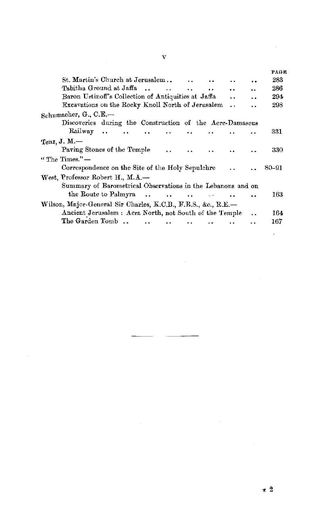|                                                                                                   |                      |                      | PAGE  |
|---------------------------------------------------------------------------------------------------|----------------------|----------------------|-------|
| St. Martin's Church at Jerusalem                                                                  |                      | $\ddot{\phantom{0}}$ | 283   |
| Tabitha Ground at Jaffa<br>$\mathbf{r}$ and $\mathbf{r}$ and $\mathbf{r}$<br>$\ddot{\phantom{a}}$ | $\ddot{\phantom{a}}$ | o u                  | 286   |
| Baron Ustinoff's Collection of Antiquities at Jaffa                                               | . .                  | . .                  | 294   |
| Excavations on the Rocky Knoll North of Jerusalem                                                 | . .                  |                      | 298   |
| Schumacher, G., C.E.                                                                              |                      |                      |       |
| Discoveries during the Construction of the Acre-Damascus                                          |                      |                      |       |
| Railway<br><b>Carl Corp.</b><br>$\ddot{\phantom{a}}$                                              |                      |                      | 331   |
| Tenz, J. M.                                                                                       |                      |                      |       |
|                                                                                                   |                      |                      |       |
| Paving Stones of the Temple<br>$\ddot{\phantom{a}}$                                               |                      |                      | 330   |
| $\lq$ The Times." $-$                                                                             |                      |                      |       |
| Correspondence on the Site of the Holy Sepulchre                                                  |                      |                      | 80–91 |
| West, Professor Robert H., M.A.—                                                                  |                      |                      |       |
| Summary of Barometrical Observations in the Lebanons and on                                       |                      |                      |       |
| the Route to Palmyra                                                                              |                      |                      | 163   |
|                                                                                                   |                      | . .                  |       |
| Wilson, Major-General Sir Charles, K.C.B., F.R.S., &c., R.E.-                                     |                      |                      |       |
| Ancient Jerusalem : Acra North, not South of the Temple                                           |                      |                      | 164   |
| The Garden Tomb                                                                                   |                      |                      | 167   |
|                                                                                                   |                      |                      |       |

 $\mathcal{L}^{\text{max}}_{\text{max}}$  and  $\mathcal{L}^{\text{max}}_{\text{max}}$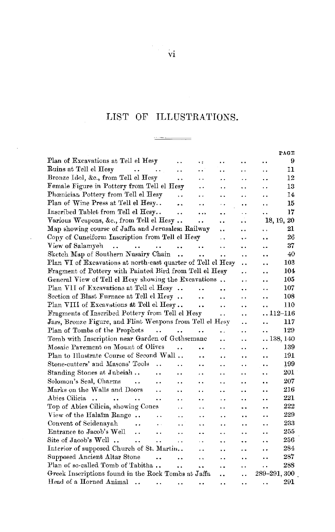### LIST OF ILLUSTRATIONS.

 $\frac{1}{2}$  $\overline{\phantom{a}}$ 

|                                                                                                                       |                      |                      |                      |                      | PAGE |
|-----------------------------------------------------------------------------------------------------------------------|----------------------|----------------------|----------------------|----------------------|------|
| Plan of Excavations at Tell el Hesy                                                                                   | ٠÷                   | $\ddot{\phantom{a}}$ | . .                  | . .                  | 9    |
| Ruins at Tell el Hesy<br>$\ddot{\phantom{a}}$<br>$\sim$ $\sim$<br>. .                                                 | . .                  | . .                  | . .                  | . .                  | 11   |
| Bronze Idol, &c., from Tell el Hesy<br>                                                                               | ٠.                   | $\ddot{\phantom{1}}$ | . .                  | ٠.                   | 12   |
| Female Figure in Pottery from Tell el Hesy                                                                            | . .                  | $\ddot{\phantom{0}}$ | $\ddot{\phantom{1}}$ | . .                  | 13   |
| Phœnician Pottery from Tell el Hesy<br>٠.                                                                             | $\ddot{\phantom{1}}$ | $\ddot{\phantom{1}}$ | $\ddot{\phantom{1}}$ | $\ddot{\phantom{1}}$ | 14   |
| Plan of Wine Press at Tell el Hesy<br>٠.                                                                              | $\ddot{\phantom{1}}$ | $\ddot{\phantom{0}}$ | . .                  | $\ddot{\phantom{1}}$ | 15   |
| Inscribed Tablet from Tell el Hesy<br>. .                                                                             | .                    | ٠.                   | . .                  | $\ddot{\phantom{1}}$ | 17   |
| Various Weapons, &c., from Tell el Hesy                                                                               | $\ddot{\phantom{1}}$ | ٠.                   | . .                  | 18, 19, 20           |      |
| Map showing course of Jaffa and Jerusalem Railway                                                                     |                      | $\ddot{\phantom{a}}$ |                      | $\ddot{\phantom{1}}$ | 21   |
| Copy of Cuneiform Inscription from Tell el Hesy                                                                       |                      | $\ddot{\phantom{1}}$ | s.e                  | . .                  | 26   |
| View of Salamyeh<br>and the same<br>$\ddot{\phantom{1}}$<br>                                                          | $\ddot{\phantom{a}}$ | $\ddot{\phantom{a}}$ |                      | $\sim$ $\sim$        | 37   |
| Sketch Map of Southern Nusairy Chain<br>$\ddot{\phantom{a}}$                                                          | $\ddot{\phantom{a}}$ | . .                  |                      | $\cdot$              | 40   |
| Plan VI of Excavations at north-east quarter of Tell el Hesy                                                          |                      |                      | $\ddot{\phantom{0}}$ |                      | 103  |
| Fragment of Pottery with Painted Bird from Tell el Hesy                                                               |                      |                      | . .                  | . .                  | 104  |
| General View of Tell el Hesy showing the Excavations                                                                  |                      |                      | $\cdot$ $\cdot$      | . .                  | 105  |
| Plan VII of Excavations at Tell el Hesy                                                                               |                      |                      | ٠.                   | ٠.                   | 107  |
| Section of Blast Furnace at Tell el Hesy                                                                              | $\ddot{\phantom{0}}$ | $\ddot{\phantom{0}}$ | . .                  | . .                  | 108  |
| Plan VIII of Excavations at Tell el Hesy                                                                              | . .                  | $\ddot{\phantom{0}}$ |                      |                      | 110  |
| Fragments of Inscribed Pottery from Tell el Hesy                                                                      |                      | $\ddot{\phantom{a}}$ | . .                  | $\ldots$ 112–116     |      |
| Jars, Bronze Figure, and Flint Weapons from Tell el Hesy                                                              |                      |                      | . .                  |                      | 117  |
| Plan of Tombs of the Prophets<br>$\ddotsc$<br>                                                                        |                      | $\ddot{\phantom{0}}$ | . .                  | . .                  | 129  |
| Tomb with Inscription near Garden of Gethsemane                                                                       |                      | $\ddot{\phantom{0}}$ | . .                  | . . 138, 140         |      |
| Mosaic Pavement on Mount of Olives                                                                                    | $\ddot{\phantom{0}}$ | $\ddot{\phantom{0}}$ | . .                  | . .                  | 139  |
| Plan to Illustrate Course of Second Wall                                                                              | . .                  | $\ddot{\phantom{a}}$ | $\ddot{\phantom{0}}$ |                      | 191  |
| Stone-cutters' and Masons' Tools<br>$\ddot{\phantom{0}}$                                                              | $\ddot{\phantom{0}}$ | $\ddot{\phantom{a}}$ | . .                  |                      | 199  |
| Standing Stones at Jubeiah<br>$\ddot{\phantom{a}}$<br>. .                                                             | . .                  | ٠.                   | $\ddot{\phantom{0}}$ | ٠.                   | 201  |
| Solomon's Seal, Charms<br>$\sim$ $\sim$<br>. .                                                                        |                      | $\ddot{\phantom{1}}$ | $\ddot{\phantom{a}}$ | $\ddot{\phantom{0}}$ | 207  |
| Marks on the Walls and Doors<br>. .<br>$\ddot{\phantom{0}}$                                                           | $\ddot{\phantom{a}}$ | $\ddot{\phantom{a}}$ | $\ddot{\phantom{0}}$ | $\ddot{\phantom{0}}$ | 216  |
| Abies Cilicia<br>$\dddot{\phantom{0}}$<br>$\ddot{\phantom{a}}$<br>$\ddot{\phantom{a}}$<br>$\ddot{\phantom{1}}$<br>. . | ٠.                   | $\ddot{\phantom{0}}$ | $\ddot{\phantom{a}}$ | . .                  | 221  |
| Top of Abies Cilicia, showing Cones<br>$\ddot{\phantom{a}}$                                                           | $\ddot{\phantom{1}}$ | $\ddot{\phantom{0}}$ |                      | $\ddot{\phantom{0}}$ | 222  |
| View of the Halaim Range<br>$\ddot{\phantom{0}}$<br>. .                                                               | . .                  | $\ddot{\phantom{1}}$ | $\ddot{\phantom{0}}$ | ٠.                   | 229  |
| Convent of Scidenayah<br>$\ddot{\phantom{a}}$<br>$\ddot{\phantom{1}}$<br>$\ddot{\phantom{0}}$                         | $\ddot{\phantom{1}}$ | $\ddot{\phantom{1}}$ |                      | ٠.                   | 233  |
| Entrance to Jacob's Well<br>$\ddot{\phantom{a}}$<br>$\ddot{\phantom{1}}$<br>$\ddot{\phantom{0}}$                      | . .                  | $\ddot{\phantom{a}}$ | ٠.                   | . .                  | 255  |
| Site of Jacob's Well.<br>$\ddotsc$<br>$\ddot{\phantom{a}}$<br>. .                                                     | . .                  | $\ddot{\phantom{1}}$ | $\ddot{\phantom{a}}$ | . .                  | 256  |
| Interior of supposed Church of St. Martin                                                                             | $\ddot{\phantom{0}}$ | $\ddot{\phantom{a}}$ |                      | . .                  | 284  |
| Supposed Ancient Altar Stone<br>٠.<br>$\ddot{\phantom{a}}$                                                            | $\ddot{\phantom{0}}$ |                      | $\ddot{\phantom{0}}$ | . .                  | 287  |
| Plan of so-called Tomb of Tabitha                                                                                     |                      | $\ddot{\phantom{0}}$ |                      | $\ddot{\phantom{0}}$ | 288  |
| $\ddot{\phantom{a}}$<br>Greek Inscriptions found in the Rock Tombs at Jaffa                                           | ٠.                   | ٠.<br>               | ٠.<br>. .            | 289-291, 300         |      |
| Head of a Horned Animal                                                                                               |                      |                      |                      |                      | 291  |
|                                                                                                                       |                      |                      | $\ddot{\phantom{1}}$ | ۰.                   |      |

 $\cdot$ 

 $\begin{bmatrix} 1 & 1 \\ 1 & 1 \end{bmatrix}$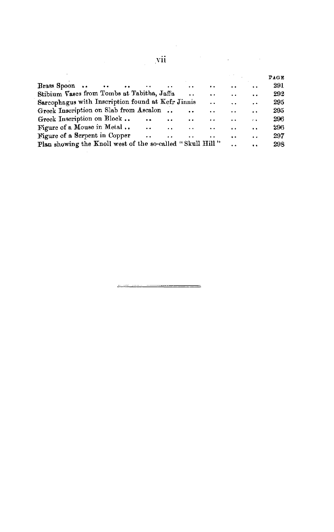|                                                                 |                      |                      |                      |                      |                      |                      | PAGE |
|-----------------------------------------------------------------|----------------------|----------------------|----------------------|----------------------|----------------------|----------------------|------|
| Brass Spoon<br>$\sim 1000$<br><b>Contract Contract Contract</b> | . .                  | $\ddot{\phantom{0}}$ | . .                  | . .                  | $\ddot{\phantom{0}}$ | $\ddot{\phantom{0}}$ | 291  |
| Stibium Vases from Tombs at Tabitha, Jaffa                      |                      |                      | $\ddot{\phantom{0}}$ | $\ddot{\phantom{0}}$ |                      | $\ddot{\phantom{a}}$ | 292  |
| Sarcophagus with Inscription found at Kefr Jinnis               |                      |                      |                      | . .                  | . .                  | $\ddot{\phantom{a}}$ | 295  |
| Greek Inscription on Slab from Ascalon                          |                      |                      | $\ddot{\phantom{0}}$ | $\blacksquare$       | . .                  | . .                  | 295  |
| Greek Inscription on Block                                      | $\ddot{\phantom{a}}$ | . .                  | . .                  | . .                  | . .                  | $\epsilon$           | 296  |
| Figure of a Mouse in Metal                                      | $\ddot{\phantom{0}}$ | $\ddot{\phantom{a}}$ | $\ddot{\phantom{a}}$ | $\ddot{\phantom{0}}$ | . .                  | $\ddot{\phantom{0}}$ | 296  |
| Figure of a Serpent in Copper                                   | $\ddot{\phantom{a}}$ | $\ddot{\phantom{0}}$ |                      | . .                  | $\ddot{\phantom{a}}$ | . .                  | 297  |
| Plan showing the Knoll west of the so-called "Skull Hill"       |                      |                      |                      |                      |                      | . .                  | 298  |
|                                                                 |                      |                      |                      |                      |                      |                      |      |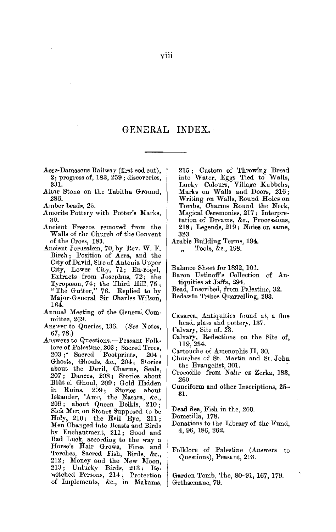#### GENERAL INDEX.

- Acre-Damascus Railway (first sod cut), 2; progress of, 183, 259; discoveries, 331.
- .Altar Stone on the Tabitha Ground, 286.
- Amber beads. 25.
- Amorite Pottery with Potter's Marks, ;JI).
- Ancient Frescos removed from the Walls of the Church of the Convent of the Cross, 183.
- Ancient Jerusalem, 70, by Rev. W. F. Birch; Position of Acra, and the City of David, Site of Antonia Upper City, Lower City, 71; En-rogel, Extracts from Josephus, 72; the Tyropceon, 74; the Third Hill, 75 ; "The Gutter," 76. Replied to by Major-General Sir Charles Wilson, 164.
- Annual Meeting of the General Com $mittee$ ,  $269$ .
- Answer to Queries, 136. (See Notes, 67, 78.)
- Answers to Questions.-Peasant Folklore of Palestine, 203; Sacred Trees, 203 ; • Sacred Footprints, 204 ; Ghosts, Ghouls, &c., 204; Stories about the Devil, Charms, Seals,<br>207; Dances, 208; Stories about<br>Biût\_el Ghoul, 209; Gold Hidden in Ruins, 209; Stories about Isksnder, 'Amr, the Nasara, &c., 209 ; about Queen Belkis, 210 ; Sick Men on Stones Supposed to be Holy, 210; the Evil Eye, 211; Men Changed into Beasts and Birds by Enchantment, 211; Good and Bad Luck, according to the way a Horse's Hair Grows, Fires and Torches, Sacred Fish, Birds, &c., 212; Money and the New Moon, 213; Unlucky Birds, 213; Bewitched Persons, 214; Protection of Implements, &c., in Makams,

215 ; Custom of Throwing Bread into Water, Eggs Tied to Walls, Lucky Colours, Village Kubbehs, Marks on Walls and Doors, 216; Writing on Walls, Round Holes on Tombs, Charms Round the Neck, Magical Ceremonies, 217; Interpretation of Dreams, &c., Processions, 218; Legends, 219; Notes on same, 323.

Arabic Building Terms, 194.

Tools, &c., 198.  $\ddot{\phantom{a}}$ 

Balance Sheet for 1892, 101.

- Baron Ustinoff's Collection of Antiquities at Jaffa, 294.
- Bead, Inscribed, from Palestine, 32.
- Bedawln Tribes Quarrelling, 293.
- Cæsarea, Antiquities found at, a fine head, glass and pottery, 137.
- Calvary, Site of, 23.
- Calvary, Reflections on the Site of, 119,254.
- Cartouche of Amenophis II, 30.
- Churches of St. Martin and St. John the Evangelist, 301.
- Crocodile from Nahr ez Zerka, 183, 260.
- Cuneiform and other Inscriptions, 25-- 31.
- Dead Sea, Fish in the, 260.

Dometilla, 178.

- Donations to the Library of the Fund, 4, 96, 186, 262.
- Folklore of Palestine (Answers to Questions), Peasant, 203.
- Garden Tomb, The, 80-91, 167, 179. Gethsemane, 79.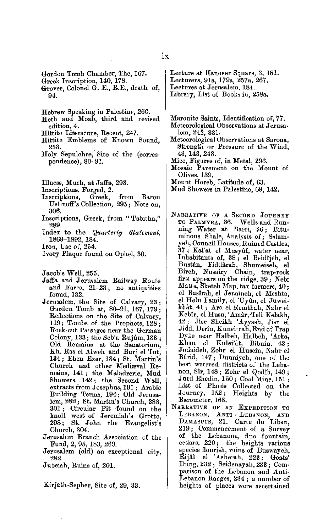Gordon Tomb Chamber, The, 167.

- Greek Inscription, 140, 178.
- Grover, Colonel G. E., R.E., death of, 94.
- Hebrew Speaking in Palestine, 260.
- Heth and Moab, third and revised edition, 4.
- Hittite Literature, Recent, 247.
- Hittite Emblems of *Known* Sound, 253.
- Holy Sepulchre, Site of the (correspondence), 80-91.
- Illness, Much, at Jaffa, 293.
- Inscriptions, Forged, 2.<br>Inscriptions, Greek,
- Inscriptions, Greek, from Baron Ustinoff's Collection, 295; Note on, 306.
- Inscriptions, Greek, from " Tabitha," 289.
- Index to the *Quarterly Statement,*  1869-1892, 184.
- Iron, Use of, 254.
- Ivory Plaque found on Ophel, 30.

Jacob's Well, 255.

- Jaffa and Jerusalem Railway Route and Fares, 21-23 ; no antiquities found, 132.
- Jerusalem, the Site of Calvary, 23; Garden Tomb at, 80-91, 167, 179; Reflections on the Site of Calvary, 119; Tombs of the Prophets, 128 ; Rock-cut Pars 1ges near the German Colony,  $133$ ; the Seb'a Rujûm,  $133$ ; Old Remains at the Sanatorium, Kh. Ras el Alweh and Burj el Tut, 134; Eben Ezer, 134; St. Martin's Church and other Mediawal Remains, 141; the Maladrerie, Mud Showers, 142; the Second Wall, extracts from Josephus, 191 ; Arabic Building Terms, 194; Old Jerusalem, 282; St. Martin's Church, 283, 301 ; Circular Pit found on the knoll west of Jeremiah's Grotto, 298; St. John the Evangelist's Church, 304.
- Jerusalem Branch Association of the Fund, 2, 95, 183, 260.
- Jerusalem (old) an exceptional city, 282.
- J ubeiah, Ruins of, 201.

Kirjath-Sepher, Site of, 29, 33.

- Lecture at Hanover Square, 3, 181. Lecturers, 91a, 179a, 257a, *267.*
- Lectures at Jerusalem, 184.

Library, List of Books in, 258a.

- Maronite Saints, Identification of, **77.**
- Meteorological Observations at **J** erusalem, 242, 331.
- Meteorological Observations at Sarona, Strength or Pressure of the Wind, 43, 143, 243.
- Mice, Figures of, in Metal, 296.
- Mosaic Pavement on the Mount of Olives, 139,
- Mount Horeb, Latitude of, 63.
- Mud Showers in Palestine, 69, 142.
- NARRATIVE OF A SECOND JOURNEY<br>TO PALMYRA, 36. Wells and Runto Palmyra, 36. ning Water at Barri, 36; Bituminous Shale, Analysis of; Salamyeh, Council Houses, Ruined Castles, 37; Kal'at el Musyûf, water near, Inhabitants of, 38; el Beidijeh, el BustAn, Fiddarah, Shumeiseh, el Bireh, Nusairy Chain, trap-rock first appears on the ridge, 39; Nebi Matta, Sketch Map, tax farmers, 40; el Baslrah, el Jenaineh, el Meshta, el Helu Family, el 'Uyún, el Juweikhât, 41; Ard el Remthah, Nahr el Keblr, el Husn, 'Amar,Tell Kelakh, 42; Jisr Sheikh 'Ayyash, Jisr el Jidd, Derin, Kuneitrah, End of Trap Dyke near Halbeh, Halbch, 'Arka, Khan el Kulei'at, Bibnin, 43 ; Judaideh, Zohr el Husein Nahr el Bârid, 147; Dunniyeh, one of the best watered districts of the Lebanon, Sîr, 148; Zohr el Qodîb, 149; Jurd Ehedin, 150; Coal Mine, 151; List of Plants Collected on the Journey, 152; Heights by the Barometer, 163.
- NARRATIVE OF AN EXPEDITION TO LEBANON, ANTI - LEBANON, AND DAMASCUS, 21. Carle du Liban, 219; Commencement of a Survey of the Lebanons, fine fountain, cedars, 220; the heights various species flourish, ruins of Buswayeh Rijâl el 'Asherah, 223; Goats' Dung, 232 ; Seidenayah, 233 ; Com-<br>parison of the Lebanon and Anti-Lebanon Ranges, 2B4 ; a number of heights of places were ascertained